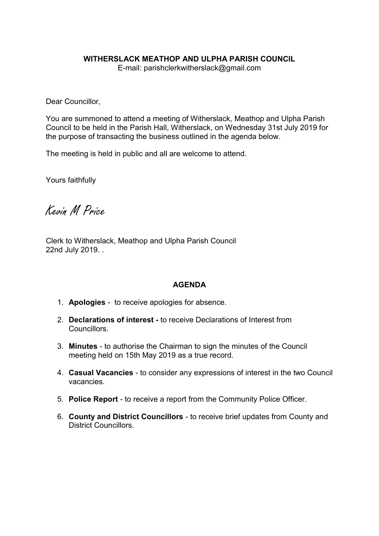## WITHERSLACK MEATHOP AND ULPHA PARISH COUNCIL

E-mail: parishclerkwitherslack@gmail.com

Dear Councillor,

You are summoned to attend a meeting of Witherslack, Meathop and Ulpha Parish Council to be held in the Parish Hall, Witherslack, on Wednesday 31st July 2019 for the purpose of transacting the business outlined in the agenda below.

The meeting is held in public and all are welcome to attend.

Yours faithfully

Kevin M Price

Clerk to Witherslack, Meathop and Ulpha Parish Council 22nd July 2019. .

## **AGENDA**

- 1. Apologies to receive apologies for absence.
- 2. Declarations of interest to receive Declarations of Interest from Councillors.
- 3. Minutes to authorise the Chairman to sign the minutes of the Council meeting held on 15th May 2019 as a true record.
- 4. Casual Vacancies to consider any expressions of interest in the two Council vacancies.
- 5. Police Report to receive a report from the Community Police Officer.
- 6. County and District Councillors to receive brief updates from County and District Councillors.